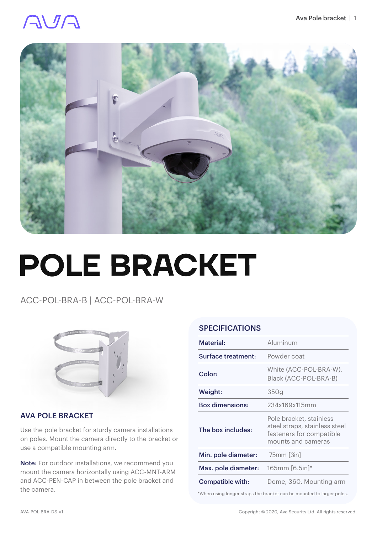### AVA



# **POLE BRACKET**

ACC-POL-BRA-B | ACC-POL-BRA-W



#### AVA POLE BRACKET

Use the pole bracket for sturdy camera installations on poles. Mount the camera directly to the bracket or use a compatible mounting arm.

Note: For outdoor installations, we recommend you mount the camera horizontally using ACC-MNT-ARM and ACC-PEN-CAP in between the pole bracket and the camera.

#### **SPECIFICATIONS**

| Material:              | Aluminum                                                                                                   |
|------------------------|------------------------------------------------------------------------------------------------------------|
| Surface treatment:     | Powder coat                                                                                                |
| Color:                 | White (ACC-POL-BRA-W),<br>Black (ACC-POL-BRA-B)                                                            |
| Weight:                | 350g                                                                                                       |
| <b>Box dimensions:</b> | 234x169x115mm                                                                                              |
| The box includes:      | Pole bracket, stainless<br>steel straps, stainless steel<br>fasteners for compatible<br>mounts and cameras |
| Min. pole diameter:    | 75mm [3in]                                                                                                 |
| Max. pole diameter:    | $165$ mm $[6.5in]*$                                                                                        |
| Compatible with:       | Dome, 360, Mounting arm                                                                                    |

\*When using longer straps the bracket can be mounted to larger poles.